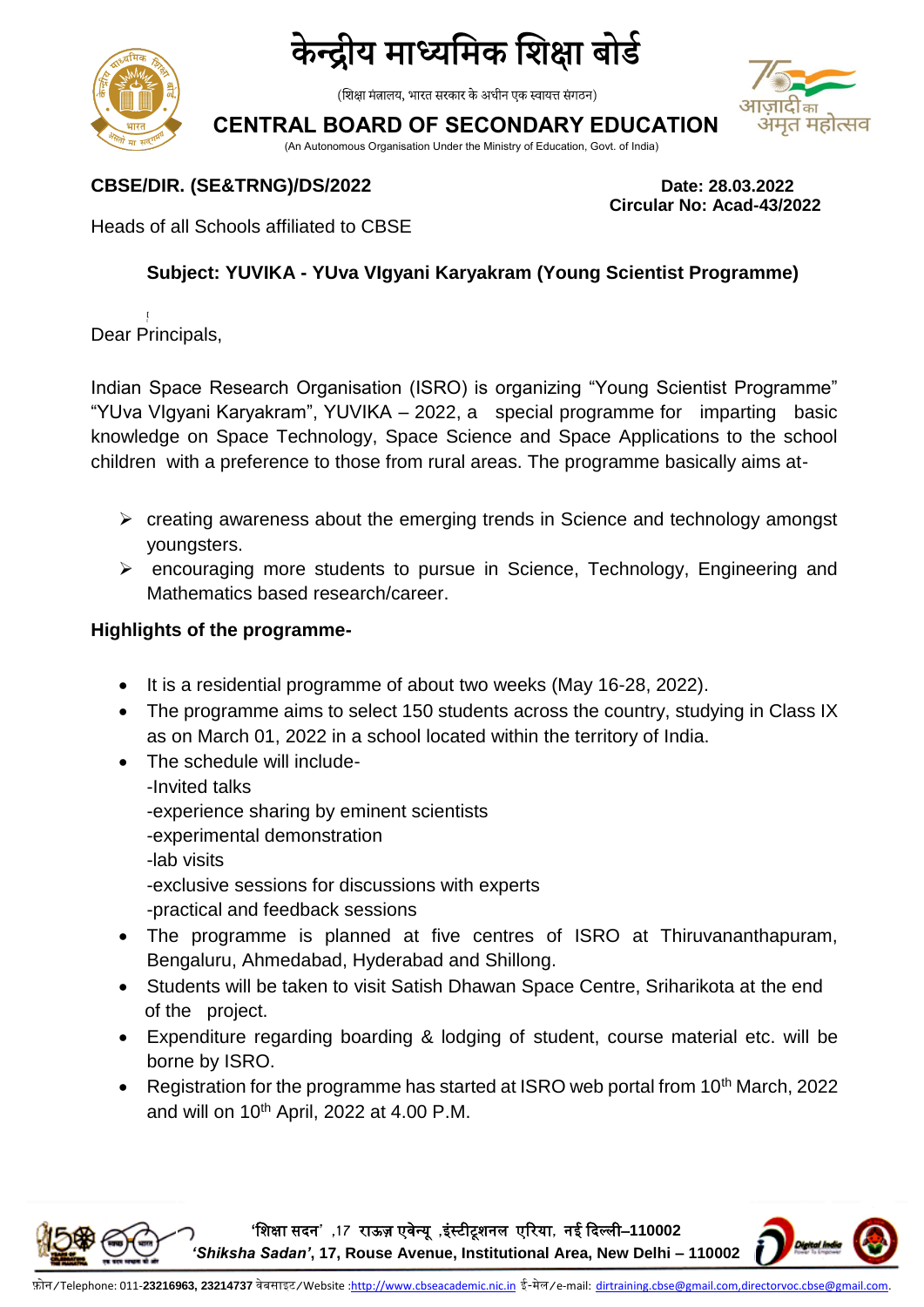

# केन्द्रीय माध्यमिक शिक्षा बोर्ड

(शिक्षा मंत्रालय, भारत सरकार के अधीन एक स्वायत्त संगठन)

**CENTRAL BOARD OF SECONDARY EDUCATION**

(An Autonomous Organisation Under the Ministry of Education, Govt. of India)

### **CBSE/DIR. (SE&TRNG)/DS/2022 Date: 28.03.2022**

Heads of all Schools affiliated to CBSE

## **Subject: YUVIKA - YUva VIgyani Karyakram (Young Scientist Programme)**

**[**  Dear Principals,

Indian Space Research Organisation (ISRO) is organizing "Young Scientist Programme" "YUva VIgyani Karyakram", YUVIKA – 2022, a special programme for imparting basic knowledge on Space Technology, Space Science and Space Applications to the school children with a preference to those from rural areas. The programme basically aims at-

- $\triangleright$  creating awareness about the emerging trends in Science and technology amongst youngsters.
- $\triangleright$  encouraging more students to pursue in Science, Technology, Engineering and Mathematics based research/career.

#### **Highlights of the programme-**

- It is a residential programme of about two weeks (May 16-28, 2022).
- The programme aims to select 150 students across the country, studying in Class IX as on March 01, 2022 in a school located within the territory of India.
- The schedule will include--Invited talks -experience sharing by eminent scientists
	- -experimental demonstration
	- -lab visits
	- -exclusive sessions for discussions with experts
	- -practical and feedback sessions
- The programme is planned at five centres of ISRO at Thiruvananthapuram, Bengaluru, Ahmedabad, Hyderabad and Shillong.
- Students will be taken to visit Satish Dhawan Space Centre, Sriharikota at the end of the project.
- Expenditure regarding boarding & lodging of student, course material etc. will be borne by ISRO.
- Registration for the programme has started at ISRO web portal from 10<sup>th</sup> March, 2022 and will on  $10^{th}$  April, 2022 at 4.00 P.M.

**'**शिक्षा सदन**' ,17** राऊज़ एवेन्यू **,**इंस्टीटूिनल एररया**,** नई ददल्ली–**110002** 







**Circular No: Acad-43/2022**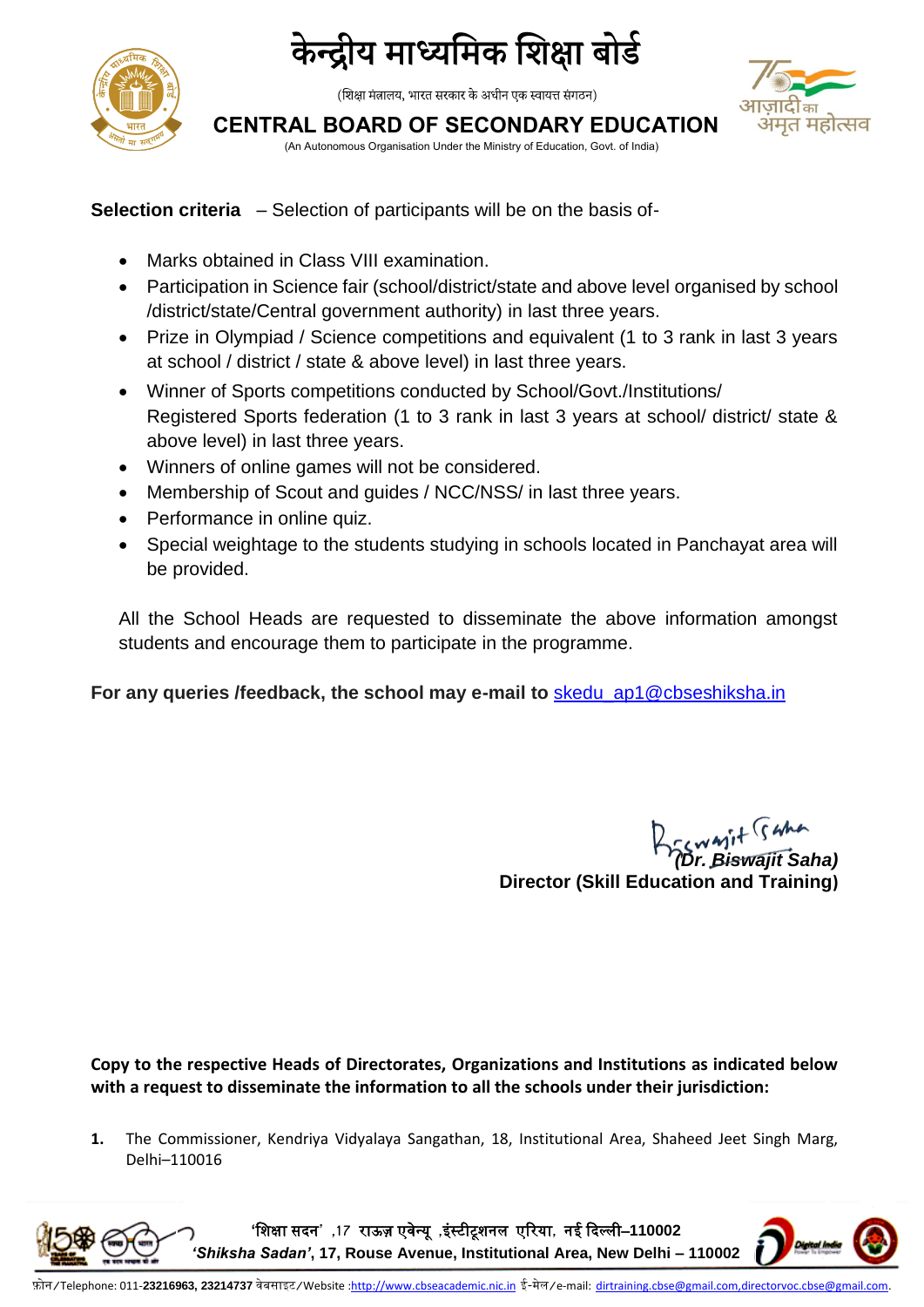

# केन्द्रीय माध्यमिक शिक्षा बोर्ड

(शिक्षा मंत्रालय, भारत सरकार के अधीन एक स्वायत्त संगठन)



**CENTRAL BOARD OF SECONDARY EDUCATION**

(An Autonomous Organisation Under the Ministry of Education, Govt. of India)

### **Selection criteria** – Selection of participants will be on the basis of-

- Marks obtained in Class VIII examination.
- Participation in Science fair (school/district/state and above level organised by school /district/state/Central government authority) in last three years.
- Prize in Olympiad / Science competitions and equivalent (1 to 3 rank in last 3 years at school / district / state & above level) in last three years.
- Winner of Sports competitions conducted by School/Govt./Institutions/ Registered Sports federation (1 to 3 rank in last 3 years at school/ district/ state & above level) in last three years.
- Winners of online games will not be considered.
- Membership of Scout and guides / NCC/NSS/ in last three years.
- Performance in online quiz.
- Special weightage to the students studying in schools located in Panchayat area will be provided.

All the School Heads are requested to disseminate the above information amongst students and encourage them to participate in the programme.

**For any queries /feedback, the school may e-mail to** [skedu\\_ap1@cbseshiksha.in](mailto:skedu_ap1@cbseshiksha.in)

*(Dr. Biswajit Saha)* **Director (Skill Education and Training)**

**Copy to the respective Heads of Directorates, Organizations and Institutions as indicated below with a request to disseminate the information to all the schools under their jurisdiction:**

**1.** The Commissioner, Kendriya Vidyalaya Sangathan, 18, Institutional Area, Shaheed Jeet Singh Marg, Delhi–110016